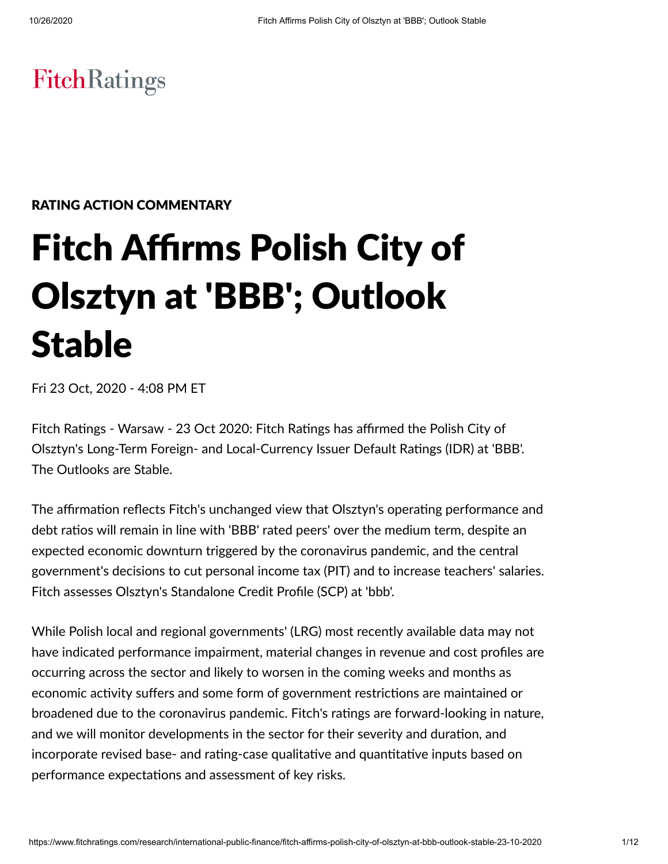## **FitchRatings**

#### RATING ACTION COMMENTARY

# Fitch Affirms Polish City of Olsztyn at 'BBB'; Outlook Stable

Fri 23 Oct, 2020 - 4:08 PM ET

Fitch Ratings - Warsaw - 23 Oct 2020: Fitch Ratings has affirmed the Polish City of Olsztyn's Long-Term Foreign- and Local-Currency Issuer Default Ratings (IDR) at 'BBB'. The Outlooks are Stable.

The affirmation reflects Fitch's unchanged view that Olsztyn's operating performance and debt ratios will remain in line with 'BBB' rated peers' over the medium term, despite an expected economic downturn triggered by the coronavirus pandemic, and the central government's decisions to cut personal income tax (PIT) and to increase teachers' salaries. Fitch assesses Olsztyn's Standalone Credit Profile (SCP) at 'bbb'.

While Polish local and regional governments' (LRG) most recently available data may not have indicated performance impairment, material changes in revenue and cost profiles are occurring across the sector and likely to worsen in the coming weeks and months as economic activity suffers and some form of government restrictions are maintained or broadened due to the coronavirus pandemic. Fitch's ratings are forward-looking in nature, and we will monitor developments in the sector for their severity and duration, and incorporate revised base- and rating-case qualitative and quantitative inputs based on performance expectations and assessment of key risks.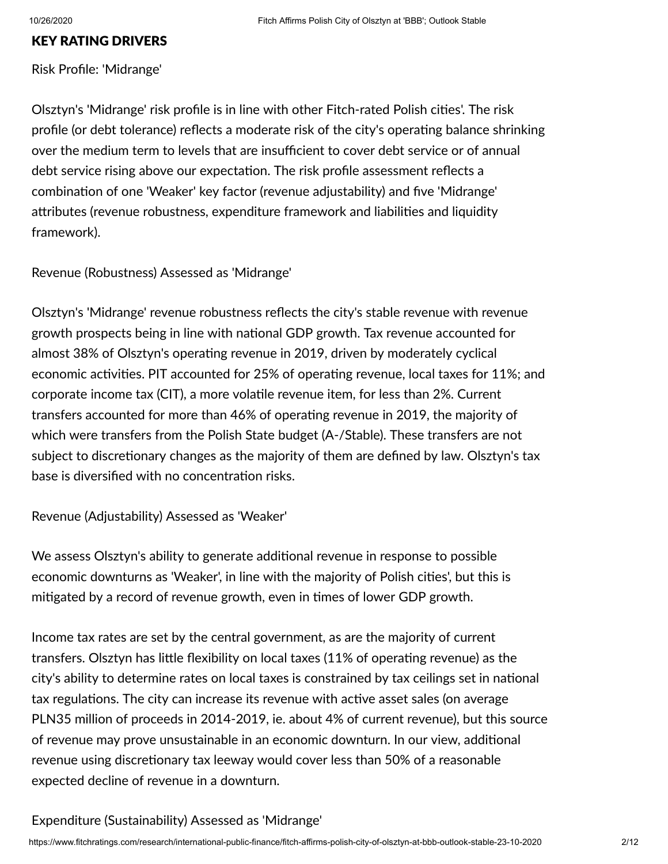#### KEY RATING DRIVERS

Risk Profile: 'Midrange'

Olsztyn's 'Midrange' risk profile is in line with other Fitch-rated Polish cities'. The risk profile (or debt tolerance) reflects a moderate risk of the city's operating balance shrinking over the medium term to levels that are insufficient to cover debt service or of annual debt service rising above our expectation. The risk profile assessment reflects a combination of one 'Weaker' key factor (revenue adjustability) and five 'Midrange' attributes (revenue robustness, expenditure framework and liabilities and liquidity framework).

Revenue (Robustness) Assessed as 'Midrange'

Olsztyn's 'Midrange' revenue robustness reflects the city's stable revenue with revenue growth prospects being in line with national GDP growth. Tax revenue accounted for almost 38% of Olsztyn's operating revenue in 2019, driven by moderately cyclical economic activities. PIT accounted for 25% of operating revenue, local taxes for 11%; and corporate income tax (CIT), a more volatile revenue item, for less than 2%. Current transfers accounted for more than 46% of operating revenue in 2019, the majority of which were transfers from the Polish State budget (A-/Stable). These transfers are not subject to discretionary changes as the majority of them are defined by law. Olsztyn's tax base is diversified with no concentration risks.

Revenue (Adjustability) Assessed as 'Weaker'

We assess Olsztyn's ability to generate additional revenue in response to possible economic downturns as 'Weaker', in line with the majority of Polish cities', but this is mitigated by a record of revenue growth, even in times of lower GDP growth.

Income tax rates are set by the central government, as are the majority of current transfers. Olsztyn has little flexibility on local taxes (11% of operating revenue) as the city's ability to determine rates on local taxes is constrained by tax ceilings set in national tax regulations. The city can increase its revenue with active asset sales (on average PLN35 million of proceeds in 2014-2019, ie. about 4% of current revenue), but this source of revenue may prove unsustainable in an economic downturn. In our view, additional revenue using discretionary tax leeway would cover less than 50% of a reasonable expected decline of revenue in a downturn.

#### Expenditure (Sustainability) Assessed as 'Midrange'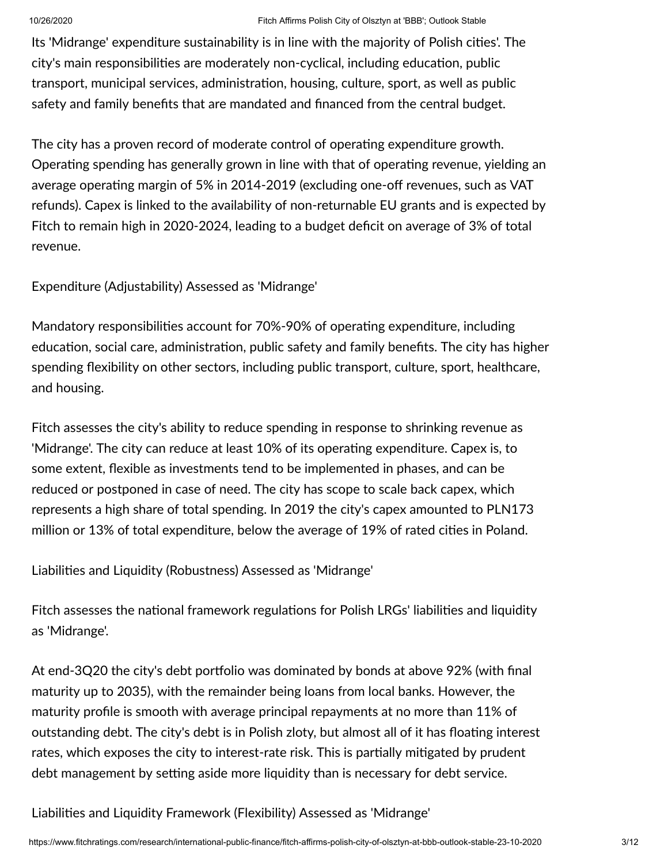Its 'Midrange' expenditure sustainability is in line with the majority of Polish cities'. The city's main responsibilities are moderately non-cyclical, including education, public transport, municipal services, administration, housing, culture, sport, as well as public safety and family benefits that are mandated and financed from the central budget.

The city has a proven record of moderate control of operating expenditure growth. Operating spending has generally grown in line with that of operating revenue, yielding an average operating margin of 5% in 2014-2019 (excluding one-off revenues, such as VAT refunds). Capex is linked to the availability of non-returnable EU grants and is expected by Fitch to remain high in 2020-2024, leading to a budget deficit on average of 3% of total revenue.

Expenditure (Adjustability) Assessed as 'Midrange'

Mandatory responsibilities account for 70%-90% of operating expenditure, including education, social care, administration, public safety and family benefits. The city has higher spending flexibility on other sectors, including public transport, culture, sport, healthcare, and housing.

Fitch assesses the city's ability to reduce spending in response to shrinking revenue as 'Midrange'. The city can reduce at least 10% of its operating expenditure. Capex is, to some extent, flexible as investments tend to be implemented in phases, and can be reduced or postponed in case of need. The city has scope to scale back capex, which represents a high share of total spending. In 2019 the city's capex amounted to PLN173 million or 13% of total expenditure, below the average of 19% of rated cities in Poland.

Liabilities and Liquidity (Robustness) Assessed as 'Midrange'

Fitch assesses the national framework regulations for Polish LRGs' liabilities and liquidity as 'Midrange'.

At end-3Q20 the city's debt portfolio was dominated by bonds at above 92% (with final maturity up to 2035), with the remainder being loans from local banks. However, the maturity profile is smooth with average principal repayments at no more than 11% of outstanding debt. The city's debt is in Polish zloty, but almost all of it has floating interest rates, which exposes the city to interest-rate risk. This is partially mitigated by prudent debt management by setting aside more liquidity than is necessary for debt service.

Liabilities and Liquidity Framework (Flexibility) Assessed as 'Midrange'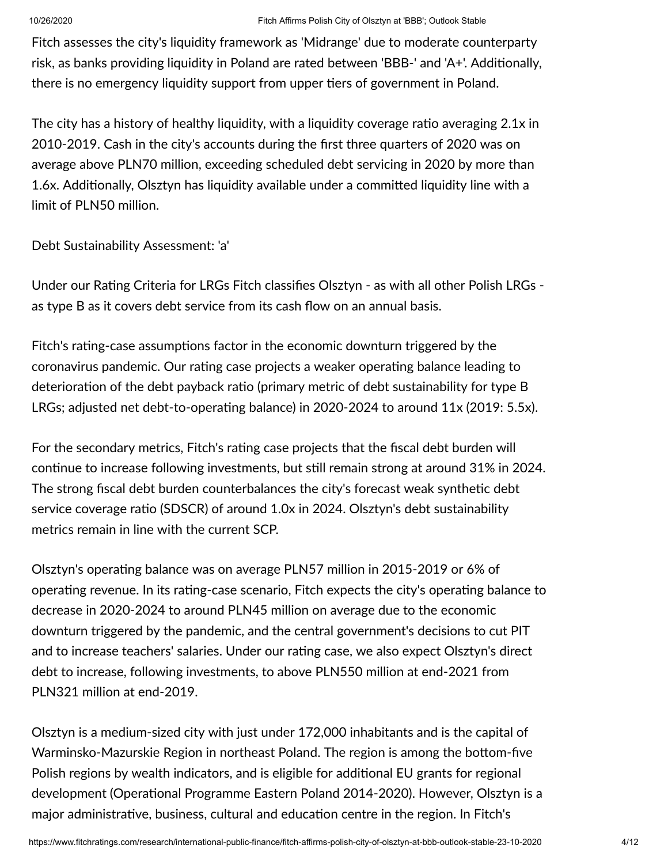Fitch assesses the city's liquidity framework as 'Midrange' due to moderate counterparty risk, as banks providing liquidity in Poland are rated between 'BBB-' and 'A+'. Additionally, there is no emergency liquidity support from upper tiers of government in Poland.

The city has a history of healthy liquidity, with a liquidity coverage ratio averaging  $2.1x$  in 2010-2019. Cash in the city's accounts during the first three quarters of 2020 was on average above PLN70 million, exceeding scheduled debt servicing in 2020 by more than 1.6x. Additionally, Olsztyn has liquidity available under a committed liquidity line with a limit of PLN50 million.

Debt Sustainability Assessment: 'a'

Under our Rating Criteria for LRGs Fitch classifies Olsztyn - as with all other Polish LRGs as type B as it covers debt service from its cash flow on an annual basis.

Fitch's rating-case assumptions factor in the economic downturn triggered by the coronavirus pandemic. Our rating case projects a weaker operating balance leading to deterioration of the debt payback ratio (primary metric of debt sustainability for type B LRGs; adjusted net debt-to-operating balance) in 2020-2024 to around  $11x$  (2019: 5.5x).

For the secondary metrics, Fitch's rating case projects that the fiscal debt burden will continue to increase following investments, but still remain strong at around 31% in 2024. The strong fiscal debt burden counterbalances the city's forecast weak synthetic debt service coverage ratio (SDSCR) of around 1.0x in 2024. Olsztyn's debt sustainability metrics remain in line with the current SCP.

Olsztyn's operating balance was on average PLN57 million in 2015-2019 or 6% of operating revenue. In its rating-case scenario, Fitch expects the city's operating balance to decrease in 2020-2024 to around PLN45 million on average due to the economic downturn triggered by the pandemic, and the central government's decisions to cut PIT and to increase teachers' salaries. Under our rating case, we also expect Olsztyn's direct debt to increase, following investments, to above PLN550 million at end-2021 from PLN321 million at end-2019.

Olsztyn is a medium-sized city with just under 172,000 inhabitants and is the capital of Warminsko-Mazurskie Region in northeast Poland. The region is among the bottom-five Polish regions by wealth indicators, and is eligible for additional EU grants for regional development (Operational Programme Eastern Poland 2014-2020). However, Olsztyn is a major administrative, business, cultural and education centre in the region. In Fitch's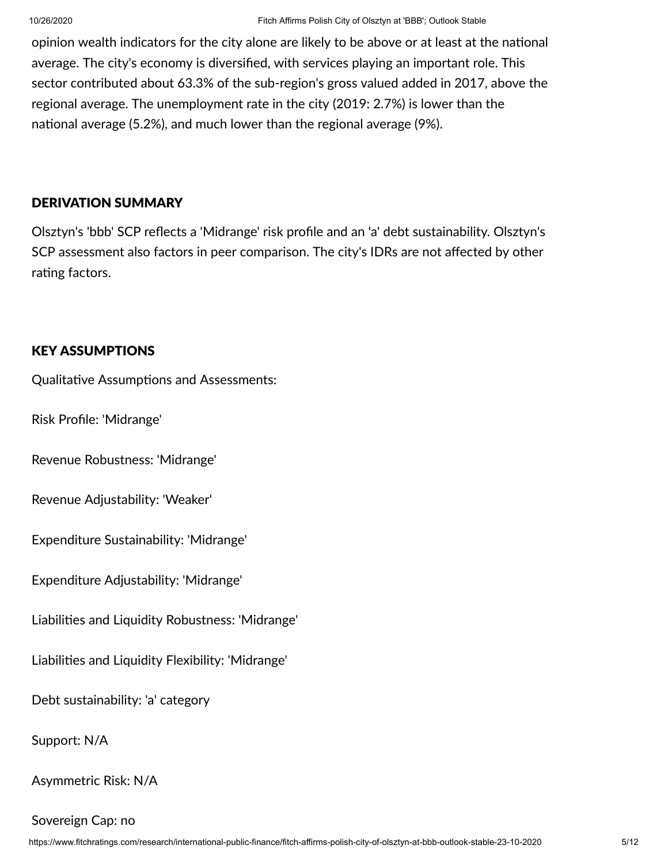opinion wealth indicators for the city alone are likely to be above or at least at the national average. The city's economy is diversified, with services playing an important role. This sector contributed about 63.3% of the sub-region's gross valued added in 2017, above the regional average. The unemployment rate in the city (2019: 2.7%) is lower than the national average (5.2%), and much lower than the regional average (9%).

#### DERIVATION SUMMARY

Olsztyn's 'bbb' SCP reflects a 'Midrange' risk profile and an 'a' debt sustainability. Olsztyn's SCP assessment also factors in peer comparison. The city's IDRs are not affected by other rating factors.

#### KEY ASSUMPTIONS

Qualitative Assumptions and Assessments:

Risk Profile: 'Midrange'

Revenue Robustness: 'Midrange'

Revenue Adjustability: 'Weaker'

Expenditure Sustainability: 'Midrange'

Expenditure Adjustability: 'Midrange'

Liabilies and Liquidity Robustness: 'Midrange'

Liabilies and Liquidity Flexibility: 'Midrange'

Debt sustainability: 'a' category

Support: N/A

Asymmetric Risk: N/A

Sovereign Cap: no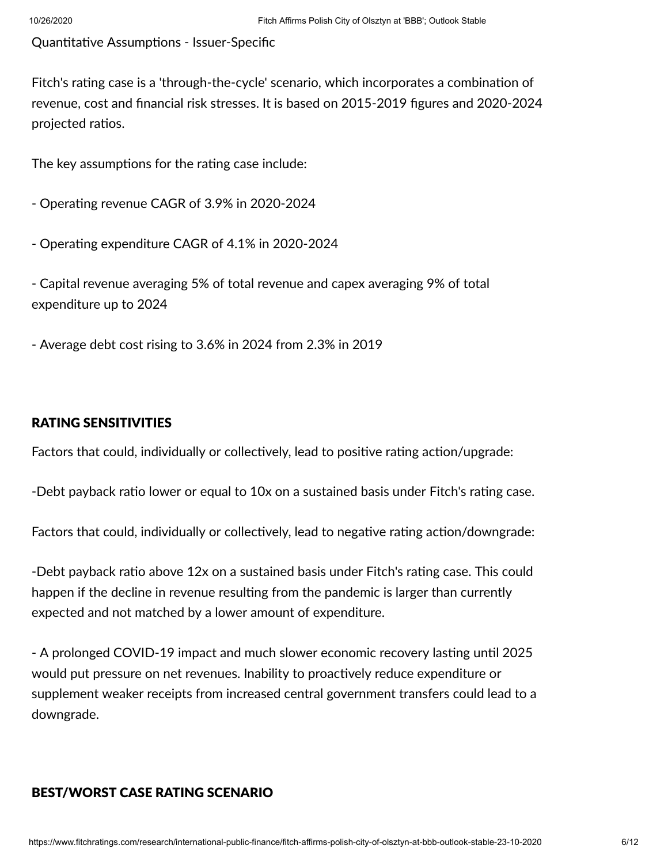Quantitative Assumptions - Issuer-Specific

Fitch's rating case is a 'through-the-cycle' scenario, which incorporates a combination of revenue, cost and financial risk stresses. It is based on 2015-2019 figures and 2020-2024 projected ratios.

The key assumptions for the rating case include:

- Operating revenue CAGR of 3.9% in 2020-2024

- Operating expenditure CAGR of 4.1% in 2020-2024

- Capital revenue averaging 5% of total revenue and capex averaging 9% of total expenditure up to 2024

- Average debt cost rising to 3.6% in 2024 from 2.3% in 2019

#### RATING SENSITIVITIES

Factors that could, individually or collectively, lead to positive rating action/upgrade:

-Debt payback ratio lower or equal to 10x on a sustained basis under Fitch's rating case.

Factors that could, individually or collectively, lead to negative rating action/downgrade:

-Debt payback ratio above 12x on a sustained basis under Fitch's rating case. This could happen if the decline in revenue resulting from the pandemic is larger than currently expected and not matched by a lower amount of expenditure.

- A prolonged COVID-19 impact and much slower economic recovery lasting until 2025 would put pressure on net revenues. Inability to proactively reduce expenditure or supplement weaker receipts from increased central government transfers could lead to a downgrade.

#### BEST/WORST CASE RATING SCENARIO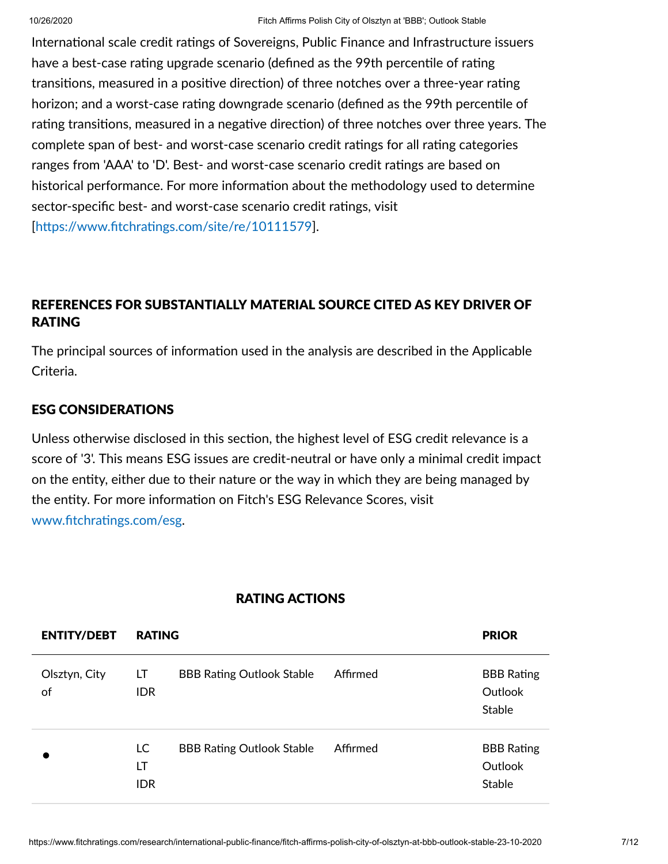International scale credit ratings of Sovereigns, Public Finance and Infrastructure issuers have a best-case rating upgrade scenario (defined as the 99th percentile of rating transitions, measured in a positive direction) of three notches over a three-year rating horizon; and a worst-case rating downgrade scenario (defined as the 99th percentile of rating transitions, measured in a negative direction) of three notches over three years. The complete span of best- and worst-case scenario credit ratings for all rating categories ranges from 'AAA' to 'D'. Best- and worst-case scenario credit ratings are based on historical performance. For more information about the methodology used to determine sector-specific best- and worst-case scenario credit ratings, visit  $[https://www.fitchratings.com/site/re/10111579]$ .

### REFERENCES FOR SUBSTANTIALLY MATERIAL SOURCE CITED AS KEY DRIVER OF RATING

The principal sources of information used in the analysis are described in the Applicable Criteria.

#### ESG CONSIDERATIONS

Unless otherwise disclosed in this section, the highest level of ESG credit relevance is a score of '3'. This means ESG issues are credit-neutral or have only a minimal credit impact on the entity, either due to their nature or the way in which they are being managed by the entity. For more information on Fitch's ESG Relevance Scores, visit www.fitchratings.com/esg.

| <b>ENTITY/DEBT</b>  | <b>RATING</b>          |                                  |          | <b>PRIOR</b>                                  |
|---------------------|------------------------|----------------------------------|----------|-----------------------------------------------|
| Olsztyn, City<br>of | LT.<br><b>IDR</b>      | <b>BBB Rating Outlook Stable</b> | Affirmed | <b>BBB</b> Rating<br>Outlook<br>Stable        |
|                     | LC<br>LT<br><b>IDR</b> | <b>BBB Rating Outlook Stable</b> | Affirmed | <b>BBB</b> Rating<br>Outlook<br><b>Stable</b> |

#### RATING ACTIONS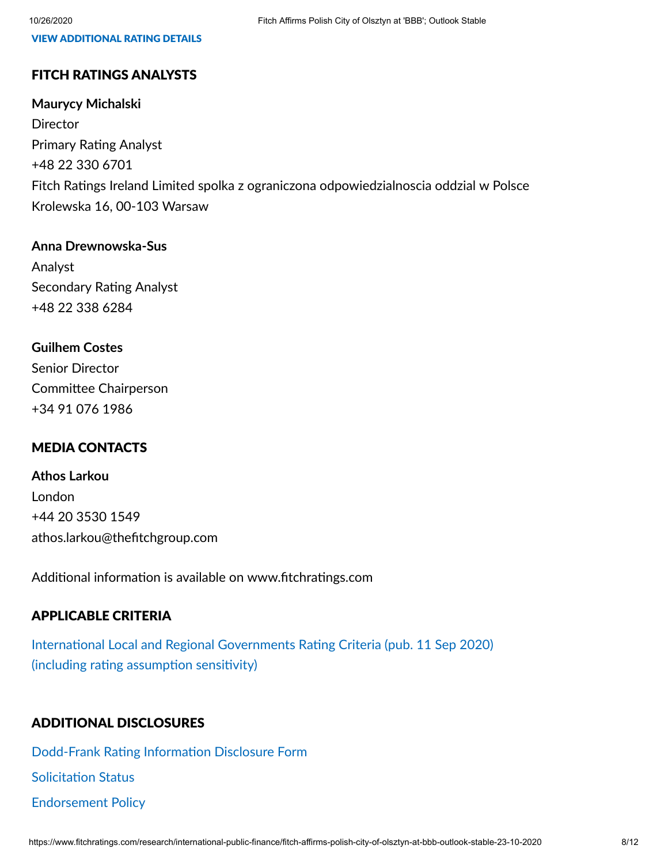#### VIEW ADDITIONAL RATING DETAILS

#### FITCH RATINGS ANALYSTS

#### **Maurycy Michalski**

**Director** Primary Rating Analyst +48 22 330 6701 Fitch Ratings Ireland Limited spolka z ograniczona odpowiedzialnoscia oddzial w Polsce Krolewska 16, 00-103 Warsaw

#### **Anna Drewnowska-Sus**

Analyst Secondary Rating Analyst +48 22 338 6284

#### **Guilhem Costes**

Senior Director Committee Chairperson +34 91 076 1986

#### MEDIA CONTACTS

**Athos Larkou** London +44 20 3530 1549 athos.larkou@thefitchgroup.com

Additional information is available on www.fitchratings.com

#### APPLICABLE CRITERIA

International Local and Regional [Governments](https://www.fitchratings.com/research/international-public-finance/international-local-regional-governments-rating-criteria-11-09-2020) Rating Criteria (pub. 11 Sep 2020) (including rating assumption sensitivity)

#### ADDITIONAL DISCLOSURES

[Dodd-Frank](https://www.fitchratings.com/research/international-public-finance/fitch-affirms-polish-city-of-olsztyn-at-bbb-outlook-stable-23-10-2020/dodd-frank-disclosure) Rating Information Disclosure Form **Solicitation Status** [Endorsement](#page-10-1) Policy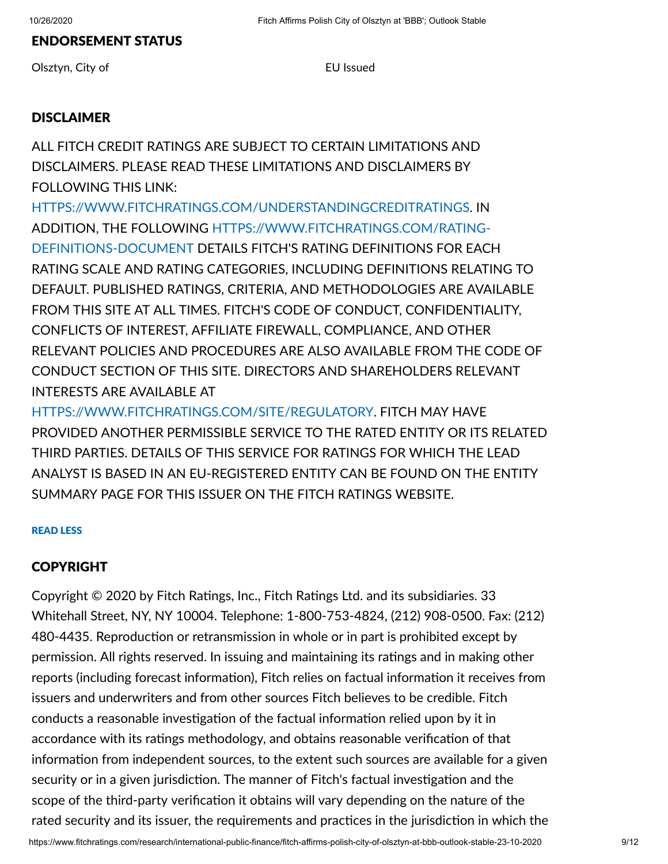#### ENDORSEMENT STATUS

Olsztyn, City of **EU** Issued

#### DISCLAIMER

ALL FITCH CREDIT RATINGS ARE SUBJECT TO CERTAIN LIMITATIONS AND DISCLAIMERS. PLEASE READ THESE LIMITATIONS AND DISCLAIMERS BY FOLLOWING THIS LINK:

[HTTPS://WWW.FITCHRATINGS.COM/UNDERSTANDINGCREDITRATINGS.](https://www.fitchratings.com/UNDERSTANDINGCREDITRATINGS) IN ADDITION, THE FOLLOWING [HTTPS://WWW.FITCHRATINGS.COM/RATING-](https://www.fitchratings.com/rating-definitions-document)DEFINITIONS-DOCUMENT DETAILS FITCH'S RATING DEFINITIONS FOR EACH RATING SCALE AND RATING CATEGORIES, INCLUDING DEFINITIONS RELATING TO DEFAULT. PUBLISHED RATINGS, CRITERIA, AND METHODOLOGIES ARE AVAILABLE FROM THIS SITE AT ALL TIMES. FITCH'S CODE OF CONDUCT, CONFIDENTIALITY, CONFLICTS OF INTEREST, AFFILIATE FIREWALL, COMPLIANCE, AND OTHER RELEVANT POLICIES AND PROCEDURES ARE ALSO AVAILABLE FROM THE CODE OF CONDUCT SECTION OF THIS SITE. DIRECTORS AND SHAREHOLDERS RELEVANT INTERESTS ARE AVAILABLE AT

[HTTPS://WWW.FITCHRATINGS.COM/SITE/REGULATORY](https://www.fitchratings.com/site/regulatory). FITCH MAY HAVE PROVIDED ANOTHER PERMISSIBLE SERVICE TO THE RATED ENTITY OR ITS RELATED THIRD PARTIES. DETAILS OF THIS SERVICE FOR RATINGS FOR WHICH THE LEAD ANALYST IS BASED IN AN EU-REGISTERED ENTITY CAN BE FOUND ON THE ENTITY SUMMARY PAGE FOR THIS ISSUER ON THE FITCH RATINGS WEBSITE.

#### READ LESS

#### COPYRIGHT

Copyright © 2020 by Fitch Ratings, Inc., Fitch Ratings Ltd. and its subsidiaries. 33 Whitehall Street, NY, NY 10004. Telephone: 1-800-753-4824, (212) 908-0500. Fax: (212) 480-4435. Reproduction or retransmission in whole or in part is prohibited except by permission. All rights reserved. In issuing and maintaining its ratings and in making other reports (including forecast information), Fitch relies on factual information it receives from issuers and underwriters and from other sources Fitch believes to be credible. Fitch conducts a reasonable investigation of the factual information relied upon by it in accordance with its ratings methodology, and obtains reasonable verification of that information from independent sources, to the extent such sources are available for a given security or in a given jurisdiction. The manner of Fitch's factual investigation and the scope of the third-party verification it obtains will vary depending on the nature of the rated security and its issuer, the requirements and practices in the jurisdiction in which the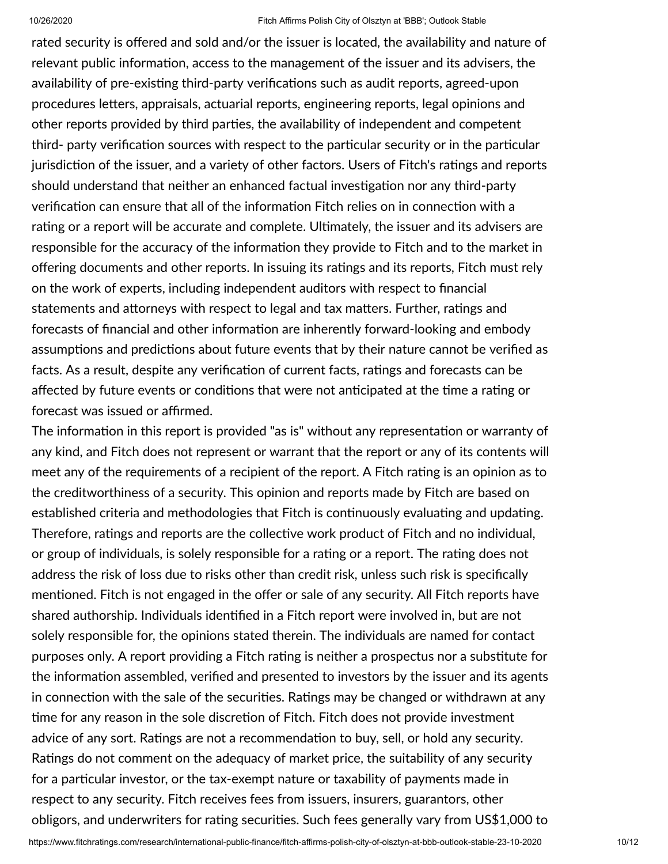rated security is offered and sold and/or the issuer is located, the availability and nature of relevant public information, access to the management of the issuer and its advisers, the availability of pre-existing third-party verifications such as audit reports, agreed-upon procedures letters, appraisals, actuarial reports, engineering reports, legal opinions and other reports provided by third parties, the availability of independent and competent third- party verification sources with respect to the particular security or in the particular jurisdiction of the issuer, and a variety of other factors. Users of Fitch's ratings and reports should understand that neither an enhanced factual investigation nor any third-party verification can ensure that all of the information Fitch relies on in connection with a rating or a report will be accurate and complete. Ultimately, the issuer and its advisers are responsible for the accuracy of the information they provide to Fitch and to the market in offering documents and other reports. In issuing its ratings and its reports, Fitch must rely on the work of experts, including independent auditors with respect to financial statements and attorneys with respect to legal and tax matters. Further, ratings and forecasts of financial and other information are inherently forward-looking and embody assumptions and predictions about future events that by their nature cannot be verified as facts. As a result, despite any verification of current facts, ratings and forecasts can be affected by future events or conditions that were not anticipated at the time a rating or forecast was issued or affirmed.

The information in this report is provided "as is" without any representation or warranty of any kind, and Fitch does not represent or warrant that the report or any of its contents will meet any of the requirements of a recipient of the report. A Fitch rating is an opinion as to the creditworthiness of a security. This opinion and reports made by Fitch are based on established criteria and methodologies that Fitch is continuously evaluating and updating. Therefore, ratings and reports are the collective work product of Fitch and no individual, or group of individuals, is solely responsible for a rating or a report. The rating does not address the risk of loss due to risks other than credit risk, unless such risk is specifically mentioned. Fitch is not engaged in the offer or sale of any security. All Fitch reports have shared authorship. Individuals identified in a Fitch report were involved in, but are not solely responsible for, the opinions stated therein. The individuals are named for contact purposes only. A report providing a Fitch rating is neither a prospectus nor a substitute for the information assembled, verified and presented to investors by the issuer and its agents in connection with the sale of the securities. Ratings may be changed or withdrawn at any time for any reason in the sole discretion of Fitch. Fitch does not provide investment advice of any sort. Ratings are not a recommendation to buy, sell, or hold any security. Ratings do not comment on the adequacy of market price, the suitability of any security for a particular investor, or the tax-exempt nature or taxability of payments made in respect to any security. Fitch receives fees from issuers, insurers, guarantors, other obligors, and underwriters for rating securities. Such fees generally vary from US\$1,000 to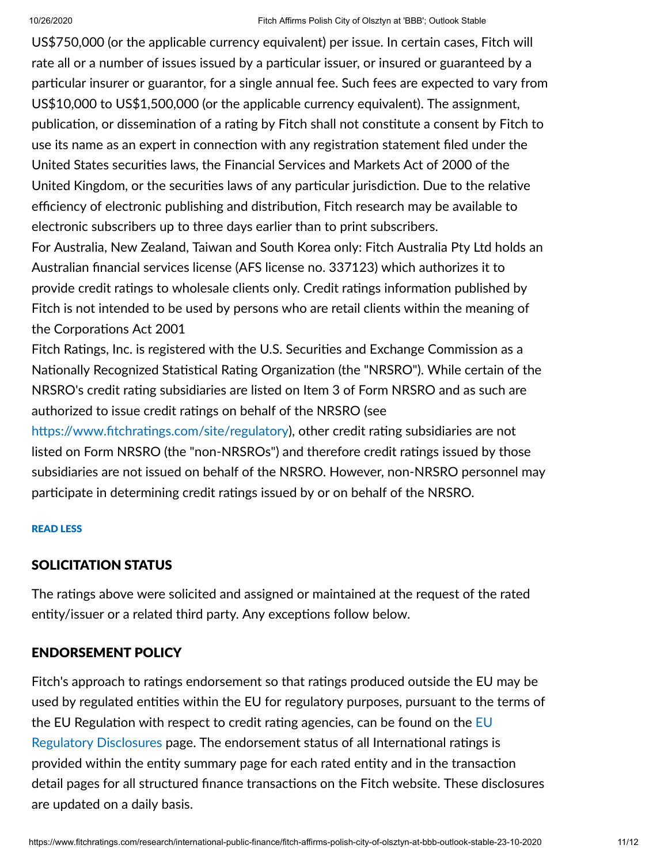US\$750,000 (or the applicable currency equivalent) per issue. In certain cases, Fitch will rate all or a number of issues issued by a particular issuer, or insured or guaranteed by a particular insurer or guarantor, for a single annual fee. Such fees are expected to vary from US\$10,000 to US\$1,500,000 (or the applicable currency equivalent). The assignment, publication, or dissemination of a rating by Fitch shall not constitute a consent by Fitch to use its name as an expert in connection with any registration statement filed under the United States securities laws, the Financial Services and Markets Act of 2000 of the United Kingdom, or the securities laws of any particular jurisdiction. Due to the relative efficiency of electronic publishing and distribution, Fitch research may be available to electronic subscribers up to three days earlier than to print subscribers.

For Australia, New Zealand, Taiwan and South Korea only: Fitch Australia Pty Ltd holds an Australian financial services license (AFS license no. 337123) which authorizes it to provide credit ratings to wholesale clients only. Credit ratings information published by Fitch is not intended to be used by persons who are retail clients within the meaning of the Corporations Act 2001

Fitch Ratings, Inc. is registered with the U.S. Securities and Exchange Commission as a Nationally Recognized Statistical Rating Organization (the "NRSRO"). While certain of the NRSRO's credit rating subsidiaries are listed on Item 3 of Form NRSRO and as such are authorized to issue credit ratings on behalf of the NRSRO (see

https://www.fitchratings.com/site/regulatory), other credit rating subsidiaries are not listed on Form NRSRO (the "non-NRSROs") and therefore credit ratings issued by those subsidiaries are not issued on behalf of the NRSRO. However, non-NRSRO personnel may participate in determining credit ratings issued by or on behalf of the NRSRO.

#### READ LESS

#### <span id="page-10-0"></span>SOLICITATION STATUS

The ratings above were solicited and assigned or maintained at the request of the rated entity/issuer or a related third party. Any exceptions follow below.

#### <span id="page-10-1"></span>ENDORSEMENT POLICY

Fitch's approach to ratings endorsement so that ratings produced outside the EU may be used by regulated entities within the EU for regulatory purposes, pursuant to the terms of the EU Regulation with respect to credit rating agencies, can be found on the EU Regulatory Disclosures page. The [endorsement](https://www.fitchratings.com/regulatory) status of all International ratings is provided within the entity summary page for each rated entity and in the transaction detail pages for all structured finance transactions on the Fitch website. These disclosures are updated on a daily basis.